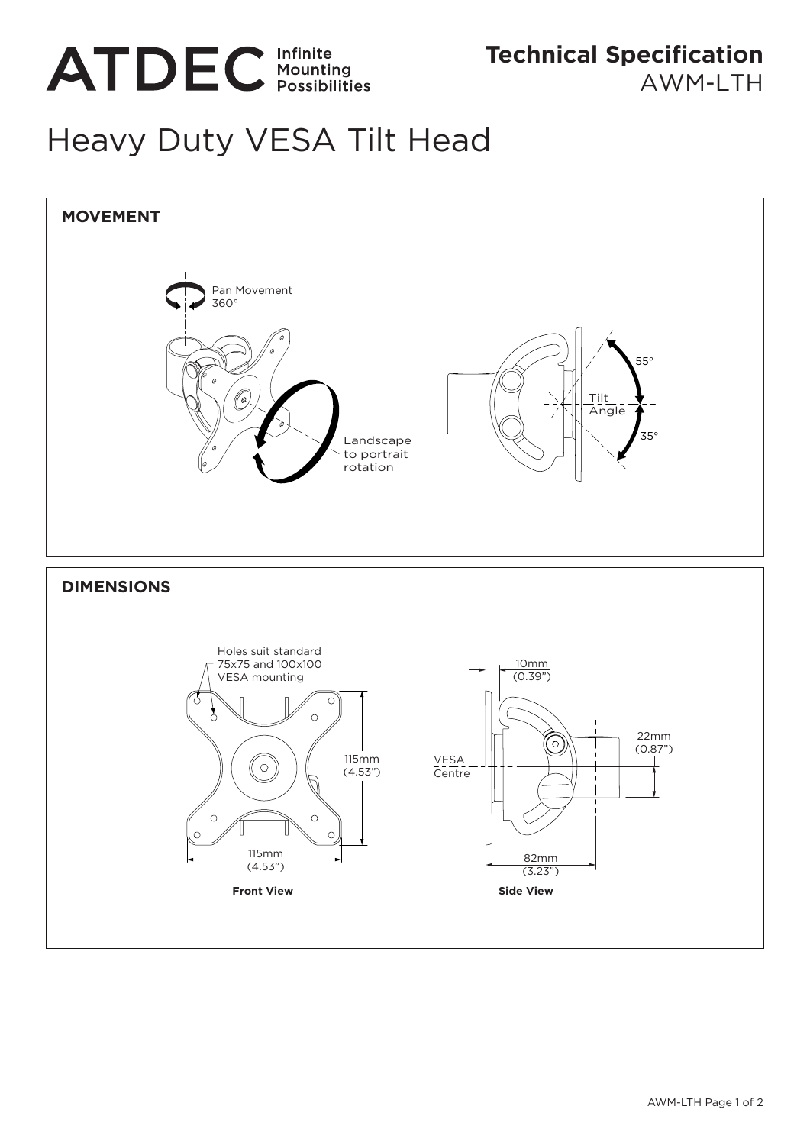

AWM-I TH

## Heavy Duty VESA Tilt Head